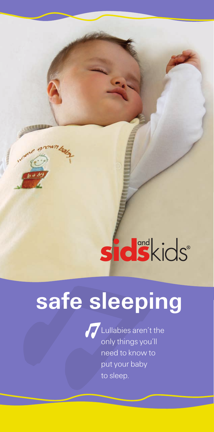# **sidskids**

## **safe sleeping**



Lullabies aren't the only things you'll need to know to put your baby to sleep.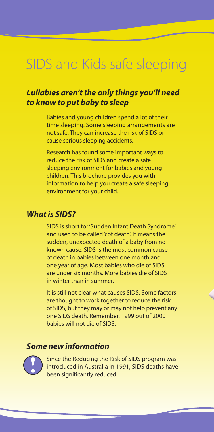### SIDS and Kids safe sleeping

#### *Lullabies aren't the only things you'll need to know to put baby to sleep*

Babies and young children spend a lot of their time sleeping. Some sleeping arrangements are not safe. They can increase the risk of SIDS or cause serious sleeping accidents.

Research has found some important ways to reduce the risk of SIDS and create a safe sleeping environment for babies and young children. This brochure provides you with information to help you create a safe sleeping environment for your child.

#### *What is SIDS?*

SIDS is short for'Sudden Infant Death Syndrome' and used to be called'cot death'. It means the sudden, unexpected death of a baby from no known cause. SIDS is the most common cause of death in babies between one month and one year of age. Most babies who die of SIDS are under six months. More babies die of SIDS in winter than in summer.

It is still not clear what causes SIDS. Some factors are thought to work together to reduce the risk of SIDS, but they may or may not help prevent any one SIDS death. Remember, 1999 out of 2000 babies will not die of SIDS.

#### *Some new information*



Since the Reducing the Risk of SIDS program was introduced in Australia in 1991, SIDS deaths have been significantly reduced.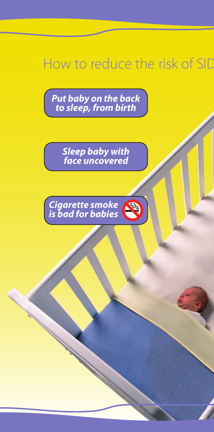### How to reduce the risk of SID

*Put baby on the back to sleep, from birth*

> *Sleep baby with face uncovered*

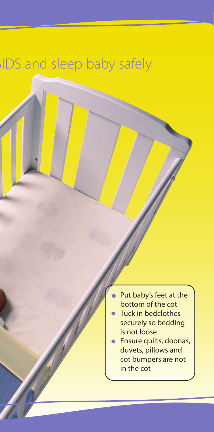### **SIDS** and sleep baby safely

- Put baby's feet at the bottom of the cot
- Tuck in bedclothes securely so bedding is not loose
- Ensure quilts, doonas, duvets, pillows and cot bumpers are not in the cot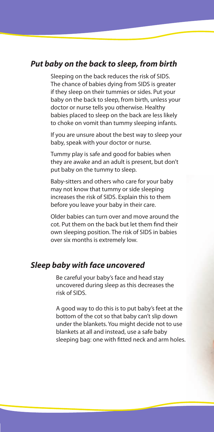#### *Put baby on the back to sleep, from birth*

Sleeping on the back reduces the risk of SIDS. The chance of babies dying from SIDS is greater if they sleep on their tummies or sides. Put your baby on the back to sleep, from birth, unless your doctor or nurse tells you otherwise. Healthy babies placed to sleep on the back are less likely to choke on vomit than tummy sleeping infants.

If you are unsure about the best way to sleep your baby, speak with your doctor or nurse.

Tummy play is safe and good for babies when they are awake and an adult is present, but don't put baby on the tummy to sleep.

Baby-sitters and others who care for your baby may not know that tummy or side sleeping increases the risk of SIDS. Explain this to them before you leave your baby in their care.

Older babies can turn over and move around the cot. Put them on the back but let them find their own sleeping position. The risk of SIDS in babies over six months is extremely low.

#### *Sleep baby with face uncovered*

Be careful your baby's face and head stay uncovered during sleep as this decreases the risk of SIDS.

A good way to do this is to put baby's feet at the bottom of the cot so that baby can't slip down under the blankets. You might decide not to use blankets at all and instead, use a safe baby sleeping bag: one with fitted neck and arm holes.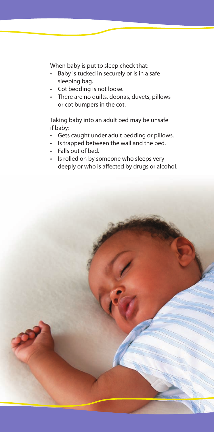When baby is put to sleep check that:

- Baby is tucked in securely or is in a safe sleeping bag.
- Cot bedding is not loose.
- There are no quilts, doonas, duvets, pillows or cot bumpers in the cot.

Taking baby into an adult bed may be unsafe if baby:

- Gets caught under adult bedding or pillows.
- Is trapped between the wall and the bed.
- Falls out of bed.
- Is rolled on by someone who sleeps very deeply or who is affected by drugs or alcohol.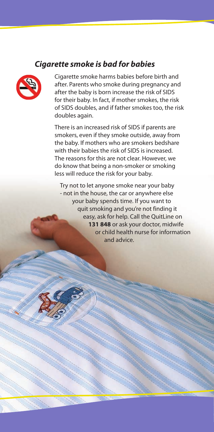#### *Cigarette smoke is bad for babies*



Cigarette smoke harms babies before birth and after. Parents who smoke during pregnancy and after the baby is born increase the risk of SIDS for their baby. In fact, if mother smokes, the risk of SIDS doubles, and if father smokes too, the risk doubles again.

There is an increased risk of SIDS if parents are smokers, even if they smoke outside, away from the baby. If mothers who are smokers bedshare with their babies the risk of SIDS is increased. The reasons for this are not clear. However, we do know that being a non-smoker or smoking less will reduce the risk for your baby.

Try not to let anyone smoke near your baby - not in the house, the car or anywhere else your baby spends time. If you want to quit smoking and you're not finding it easy, ask for help. Call the QuitLine on **131 848** or ask your doctor, midwife or child health nurse for information and advice.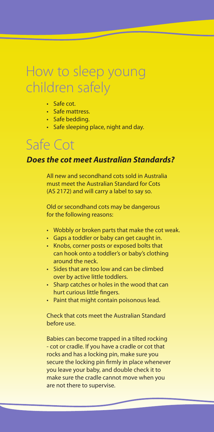### How to sleep young children safely

- Safe cot.
- Safe mattress.
- Safe bedding.
- Safe sleeping place, night and day.

### Safe Cot

#### *Does the cot meet Australian Standards?*

All new and secondhand cots sold in Australia must meet the Australian Standard for Cots (AS 2172) and will carry a label to say so.

Old or secondhand cots may be dangerous for the following reasons:

- Wobbly or broken parts that make the cot weak.
- Gaps a toddler or baby can get caught in.
- Knobs, corner posts or exposed bolts that can hook onto a toddler's or baby's clothing around the neck.
- Sides that are too low and can be climbed over by active little toddlers.
- Sharp catches or holes in the wood that can hurt curious little fingers.
- Paint that might contain poisonous lead.

Check that cots meet the Australian Standard before use.

Babies can become trapped in a tilted rocking - cot or cradle. If you have a cradle or cot that rocks and has a locking pin, make sure you secure the locking pin firmly in place whenever you leave your baby, and double check it to make sure the cradle cannot move when you are not there to supervise.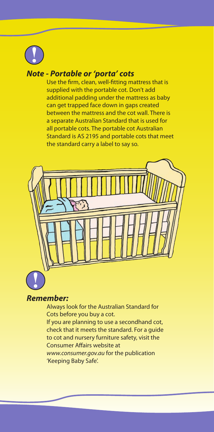

#### *Note - Portable or 'porta' cots*

Use the firm, clean, well-fitting mattress that is supplied with the portable cot. Don't add additional padding under the mattress as baby can get trapped face down in gaps created between the mattress and the cot wall. There is a separate Australian Standard that is used for all portable cots. The portable cot Australian Standard is AS 2195 and portable cots that meet the standard carry a label to say so.



#### *Remember:*

Always look for the Australian Standard for Cots before you buy a cot.

If you are planning to use a secondhand cot, check that it meets the standard. For a guide to cot and nursery furniture safety, visit the Consumer Affairs website at www.consumer.gov.au for the publication 'Keeping Baby Safe'.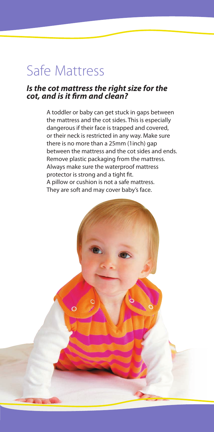### Safe Mattress

#### *Is the cot mattress the right size for the cot, and is it Þrm and clean?*

A toddler or baby can get stuck in gaps between the mattress and the cot sides. This is especially dangerous if their face is trapped and covered, or their neck is restricted in any way. Make sure there is no more than a 25mm (1inch) gap between the mattress and the cot sides and ends. Remove plastic packaging from the mattress. Always make sure the waterproof mattress protector is strong and a tight fit. A pillow or cushion is not a safe mattress. They are soft and may cover baby's face.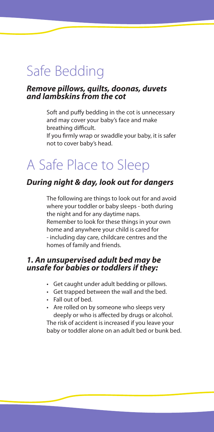### Safe Bedding

#### *Remove pillows, quilts, doonas, duvets and lambskins from the cot*

Soft and puffy bedding in the cot is unnecessary and may cover your baby's face and make breathing difficult.

If you firmly wrap or swaddle your baby, it is safer not to cover baby's head.

### A Safe Place to Sleep

#### *During night & day, look out for dangers*

The following are things to look out for and avoid where your toddler or baby sleeps - both during the night and for any daytime naps. Remember to look for these things in your own home and anywhere your child is cared for - including day care, childcare centres and the homes of family and friends.

#### *1. An unsupervised adult bed may be unsafe for babies or toddlers if they:*

- Get caught under adult bedding or pillows.
- Get trapped between the wall and the bed.
- Fall out of bed.
- Are rolled on by someone who sleeps very deeply or who is affected by drugs or alcohol.

The risk of accident is increased if you leave your baby or toddler alone on an adult bed or bunk bed.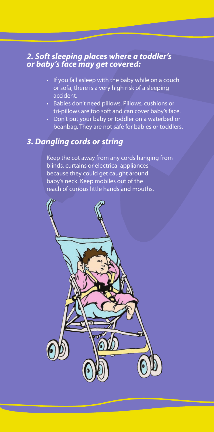#### *2. Soft sleeping places where a toddler's or baby's face may get covered:*

- If you fall asleep with the baby while on a couch or sofa, there is a very high risk of a sleeping accident.
- Babies don't need pillows. Pillows, cushions or tri-pillows are too soft and can cover baby's face.
- Don't put your baby or toddler on a waterbed or beanbag. They are not safe for babies or toddlers.

#### *3. Dangling cords or string*

Keep the cot away from any cords hanging from blinds, curtains or electrical appliances because they could get caught around baby's neck. Keep mobiles out of the reach of curious little hands and mouths.

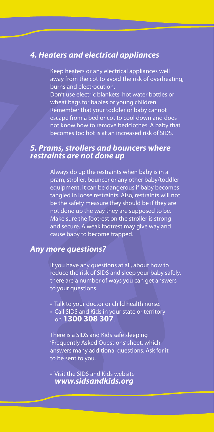#### *4. Heaters and electrical appliances*

Keep heaters or any electrical appliances well away from the cot to avoid the risk of overheating, burns and electrocution. Don't use electric blankets, hot water bottles or wheat bags for babies or young children. Remember that your toddler or baby cannot escape from a bed or cot to cool down and does not know how to remove bedclothes. A baby that

becomes too hot is at an increased risk of SIDS.

#### *5. Prams, strollers and bouncers where restraints are not done up*

Always do up the restraints when baby is in a pram, stroller, bouncer or any other baby/toddler equipment. It can be dangerous if baby becomes tangled in loose restraints. Also, restraints will not be the safety measure they should be if they are not done up the way they are supposed to be. Make sure the footrest on the stroller is strong and secure. A weak footrest may give way and cause baby to become trapped.

#### *Any more questions?*

If you have any questions at all, about how to reduce the risk of SIDS and sleep your baby safely, there are a number of ways you can get answers to your questions.

- Talk to your doctor or child health nurse.
- Call SIDS and Kids in your state or territory on **1300 308 307**.

There is a SIDS and Kids safe sleeping 'Frequently Asked Questions'sheet, which answers many additional questions. Ask for it to be sent to you.

• Visit the SIDS and Kids website *www.sidsandkids.org*